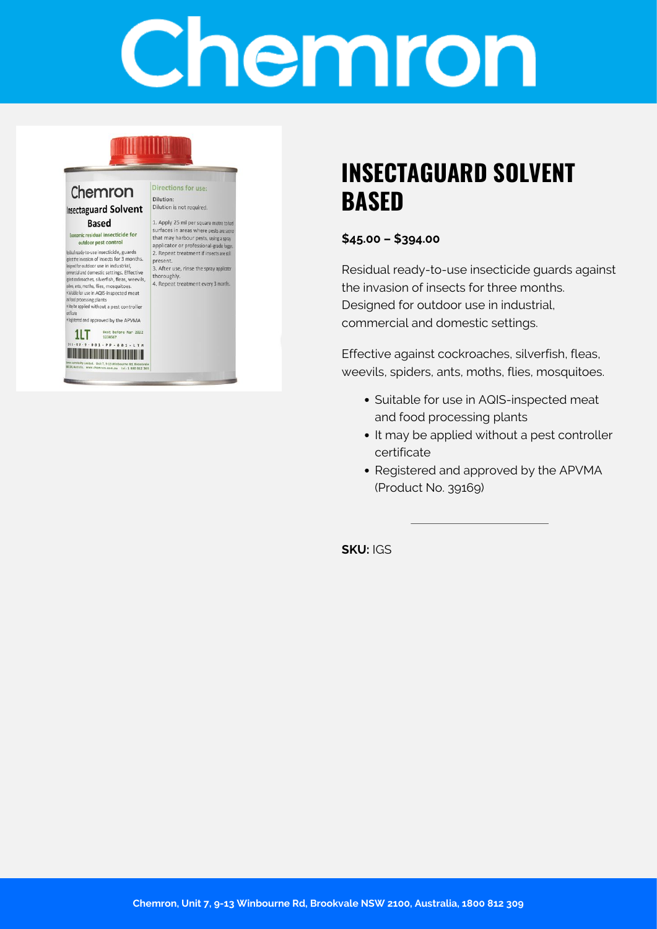# Chemron

#### Chemron **Insectaguard Solvent Based**

nic residual insecticide for outdoor pest control

idial ready-to-use insecticide, guards ainst the invasion of insects for 3 months. piece investor or insects for 5 months.<br>Eigned for outdoor use in industrial,<br>gint cockroaches, silverfish, fleas, weevils, ders, ants, moths, flies, mosquitoes. #Suitable for use in AQIS-inspected meat

at food processing plants<br>
\* Nay be applied without a pest controller

stificate<br>\*Registered and approved by the APVMA 117 Best before Mar 2022



Dilution: Dilution is not required. 1. Apply 25 ml per square metre to hat

**Directions for use:** 

surfaces in areas where pests are seen that may harbour pests, using a spray<br>applicator or professional-grade fogger 2. Repeat treatment if insects are still present.

3. After use, rinse the spray applicator thoroughly. 4. Repeat treatment every 3 months

## **INSECTAGUARD SOLVENT BASED**

#### **\$45.00 – \$394.00**

Residual ready-to-use insecticide guards against the invasion of insects for three months. Designed for outdoor use in industrial, commercial and domestic settings.

Effective against cockroaches, silverfish, fleas, weevils, spiders, ants, moths, flies, mosquitoes.

- Suitable for use in AQIS-inspected meat and food processing plants
- It may be applied without a pest controller certificate
- Registered and approved by the APVMA (Product No. 39169)

**SKU:** IGS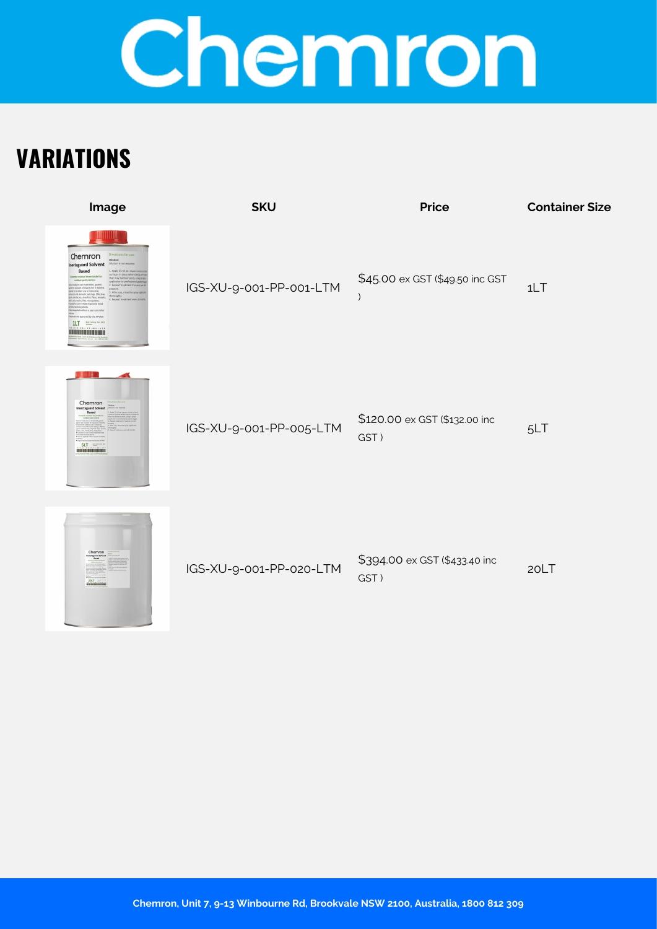## Chemron

## **VARIATIONS**

| Image                                                                                                                                                                                                                                                                                                                                                                                                                                                                                                                                                                                                                                                                            | <b>SKU</b>              | <b>Price</b>                          | <b>Container Size</b> |
|----------------------------------------------------------------------------------------------------------------------------------------------------------------------------------------------------------------------------------------------------------------------------------------------------------------------------------------------------------------------------------------------------------------------------------------------------------------------------------------------------------------------------------------------------------------------------------------------------------------------------------------------------------------------------------|-------------------------|---------------------------------------|-----------------------|
| Directions for use<br>Chemron<br>Insectaguard Solvent<br>Dilution is not required<br>Based<br>1. Apply 25 ml per square me<br>rríaces in areas where pests awa<br>ir residual insecticide fo<br>that may harbour pests, using a sp<br>outdoor pest control<br>pplicator or professional-grade<br>vious insecticide, quand<br><b>Remeat fre</b><br>of insects for 3 months<br>or use in industri<br>.<br>3. After use, rinsi<br>(and domestic settings, Effective<br>thoroughly<br>aches, silverfish, fleas, weevils<br>4. Repeat treats<br>for use in AQIS-inspected mean<br>brassled without a next controller<br>tred and approved by the APVMA<br>1LT But before for 1912<br> | IGS-XU-9-001-PP-001-LTM | \$45.00 ex GST (\$49.50 inc GST       | 1LT                   |
| шш<br>Chemron<br><b>Insectaguard Solven</b><br>Based<br><b>SLT</b><br>                                                                                                                                                                                                                                                                                                                                                                                                                                                                                                                                                                                                           | IGS-XU-9-001-PP-005-LTM | \$120.00 ex GST (\$132.00 inc<br>GST) | 5LT                   |
| Chemron<br>$20LT =$                                                                                                                                                                                                                                                                                                                                                                                                                                                                                                                                                                                                                                                              | IGS-XU-9-001-PP-020-LTM | \$394.00 ex GST (\$433.40 inc<br>GST) | 20LT                  |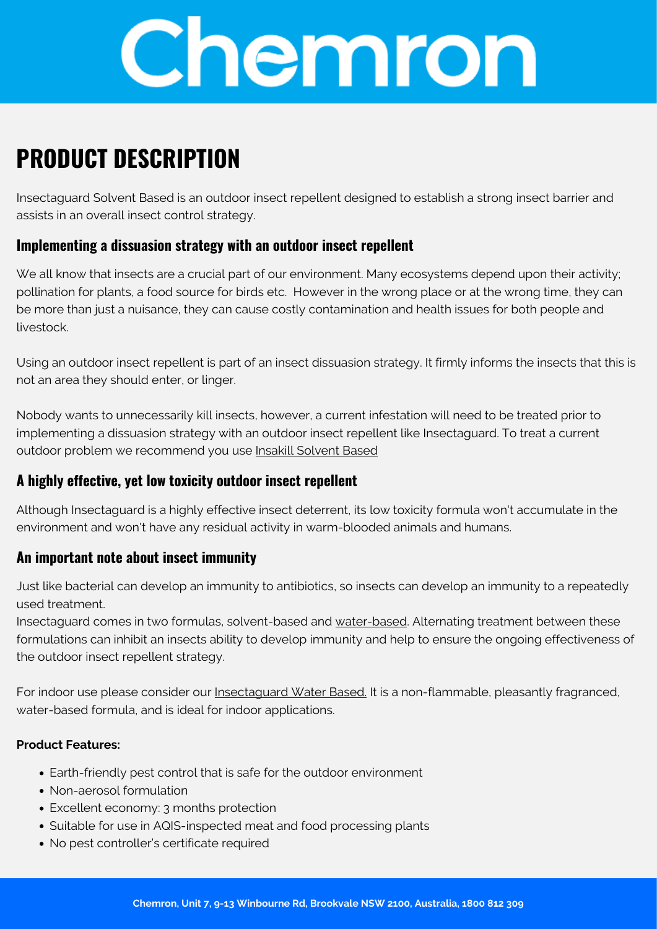

## **PRODUCT DESCRIPTION**

Insectaguard Solvent Based is an outdoor insect repellent designed to establish a strong insect barrier and assists in an overall insect control strategy.

#### **Implementing a dissuasion strategy with an outdoor insect repellent**

We all know that insects are a crucial part of our environment. Many ecosystems depend upon their activity; pollination for plants, a food source for birds etc. However in the wrong place or at the wrong time, they can be more than just a nuisance, they can cause costly contamination and health issues for both people and livestock.

Using an outdoor insect repellent is part of an insect dissuasion strategy. It firmly informs the insects that this is not an area they should enter, or linger.

Nobody wants to unnecessarily kill insects, however, a current infestation will need to be treated prior to implementing a dissuasion strategy with an outdoor insect repellent like Insectaguard. To treat a current outdoor problem we recommend you use [Insakill Solvent Based](https://chemron.com.au/shop/pest-control/insakill-solvent-based/)

### **A highly effective, yet low toxicity outdoor insect repellent**

Although Insectaguard is a highly effective insect deterrent, its low toxicity formula won't accumulate in the environment and won't have any residual activity in warm-blooded animals and humans.

#### **An important note about insect immunity**

Just like bacterial can develop an immunity to antibiotics, so insects can develop an immunity to a repeatedly used treatment.

Insectaguard comes in two formulas, solvent-based and [water-based.](https://chemron.com.au/shop/pest-control/insectaguard-water-based/) Alternating treatment between these formulations can inhibit an insects ability to develop immunity and help to ensure the ongoing effectiveness of the outdoor insect repellent strategy.

For indoor use please consider our [Insectaguard Water Based.](https://chemron.com.au/shop/pest-control/insectaguard-water-based/) It is a non-flammable, pleasantly fragranced, water-based formula, and is ideal for indoor applications.

#### **Product Features:**

- Earth-friendly pest control that is safe for the outdoor environment
- Non-aerosol formulation
- Excellent economy: 3 months protection
- Suitable for use in AQIS-inspected meat and food processing plants
- No pest controller's certificate required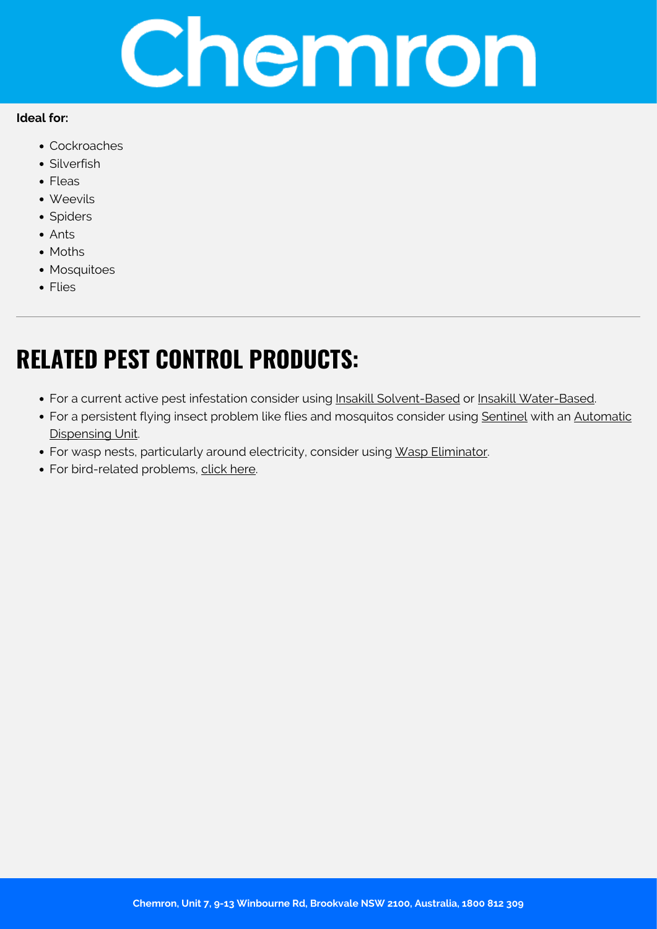

#### **Ideal for:**

- Cockroaches
- Silverfish
- Fleas
- Weevils
- Spiders
- Ants
- Moths
- Mosquitoes
- Flies

## **RELATED PEST CONTROL PRODUCTS:**

- For a current active pest infestation consider using [Insakill Solvent-Based](https://chemron.com.au/shop/pest-control/insakill-solvent-based/) or [Insakill Water-Based.](https://chemron.com.au/shop/pest-control/insakill-water-based/)
- For a persistent flying insect problem like flies and mosquitos consider using [Sentinel](https://chemron.com.au/shop/pest-control/sentinel/) with an [Automatic](https://chemron.com.au/shop/spraying/aerosol-dispenser-unit/) [Dispensing Unit.](https://chemron.com.au/shop/spraying/aerosol-dispenser-unit/)
- For wasp nests, particularly around electricity, consider using [Wasp Eliminator.](https://chemron.com.au/shop/pest-control/wasp-eliminator/)
- For bird-related problems, [click here.](https://chemron.com.au/?s=birds&post_type=product&type_aws=true&aws_id=1&aws_filter=1)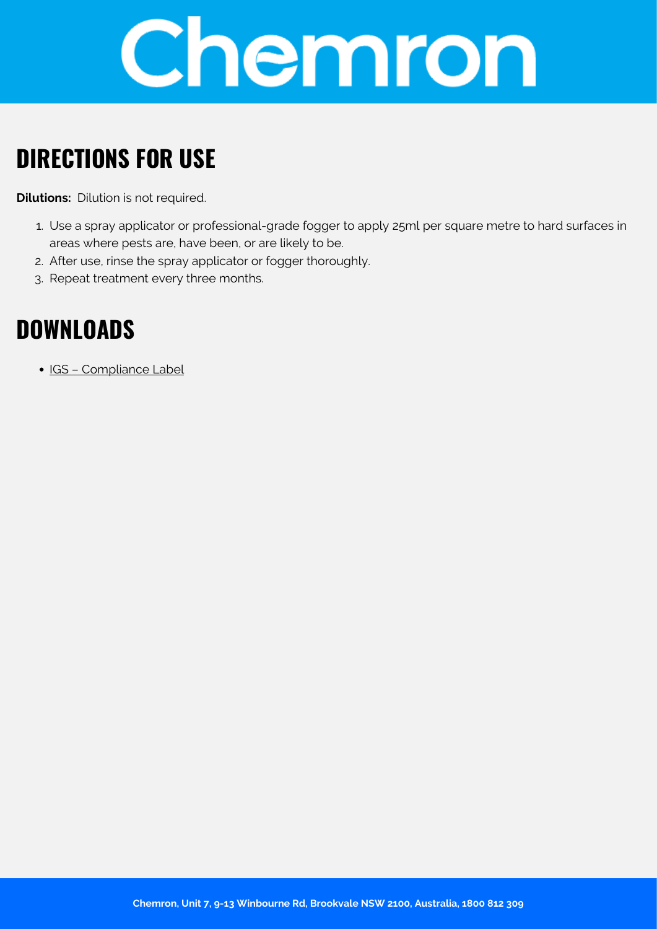

## **DIRECTIONS FOR USE**

**Dilutions:** Dilution is not required.

- 1. Use a spray applicator or professional-grade fogger to apply 25ml per square metre to hard surfaces in areas where pests are, have been, or are likely to be.
- 2. After use, rinse the spray applicator or fogger thoroughly.
- 3. Repeat treatment every three months.

## **DOWNLOADS**

• [IGS – Compliance Label](https://chemron.com.au/product-label/IGS - Compliance Label.pdf)